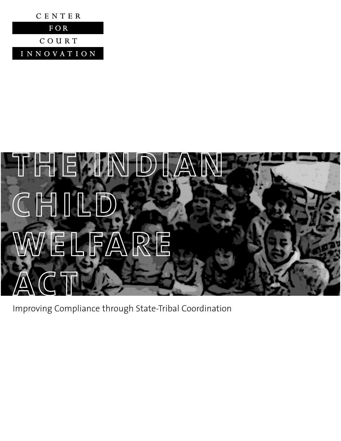



Improving Compliance through State-Tribal Coordination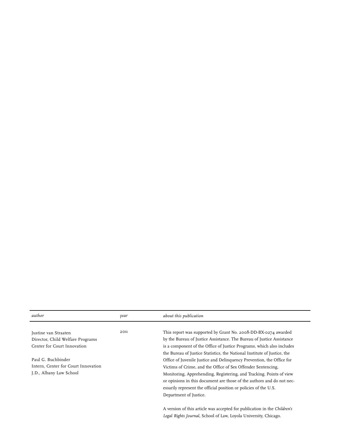| author                              | year | about this publication                                                   |
|-------------------------------------|------|--------------------------------------------------------------------------|
|                                     |      |                                                                          |
| Justine van Straaten                | 2011 | This report was supported by Grant No. 2008-DD-BX-0274 awarded           |
| Director, Child Welfare Programs    |      | by the Bureau of Justice Assistance. The Bureau of Justice Assistance    |
| Center for Court Innovation         |      | is a component of the Office of Justice Programs, which also includes    |
|                                     |      | the Bureau of Justice Statistics, the National Institute of Justice, the |
| Paul G. Buchbinder                  |      | Office of Juvenile Justice and Delinquency Prevention, the Office for    |
| Intern, Center for Court Innovation |      | Victims of Crime, and the Office of Sex Offender Sentencing,             |
| J.D., Albany Law School             |      | Monitoring, Apprehending, Registering, and Tracking. Points of view      |
|                                     |      | or opinions in this document are those of the authors and do not nec-    |
|                                     |      | essarily represent the official position or policies of the U.S.         |
|                                     |      | Department of Justice.                                                   |
|                                     |      | A version of this article was accepted for publication in the Children's |
|                                     |      | Legal Rights Journal, School of Law, Loyola University, Chicago.         |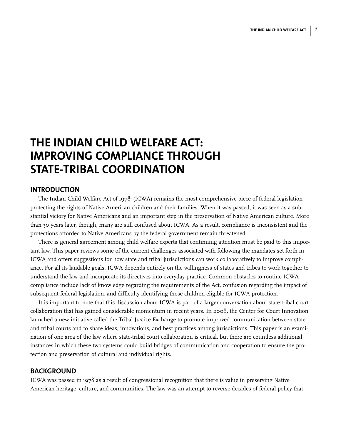# **THE INDIAN CHILD WELFARE ACT: IMPROVING COMPLIANCE THROUGH STATE-TRIBAL COORDINATION**

## **INTRODUCTION**

protections afforded to Native Americans by the federal government remain threatened. The Indian Child Welfare Act of 1978<sup>1</sup> (ICWA) remains the most comprehensive piece of federal legislation protecting the rights of Native American children and their families. When it was passed, it was seen as a substantial victory for Native Americans and an important step in the preservation of Native American culture. More than 30 years later, though, many are still confused about ICWA. As a result, compliance is inconsistent and the

There is general agreement among child welfare experts that continuing attention must be paid to this important law. This paper reviews some of the current challenges associated with following the mandates set forth in ICWA and offers suggestions for how state and tribal jurisdictions can work collaboratively to improve compliance. For all its laudable goals, ICWA depends entirely on the willingness of states and tribes to work together to understand the law and incorporate its directives into everyday practice. Common obstacles to routine ICWA compliance include lack of knowledge regarding the requirements of the Act, confusion regarding the impact of subsequent federal legislation, and difficulty identifying those children eligible for ICWA protection.

collaboration that has gained considerable momentum in recent years. In 2008, the Center for Court Innovation<br>collaboration that has gained considerable momentum in recent years. In 2008, the Center for Court Innovation launched a new initiative called the Tribal Justice Exchange to promote improved communication between state and tribal courts and to share ideas, innovations, and best practices among jurisdictions. This paper is an examiimperdiet doming id quod mazim placerat facer possim assum. nation of one area of the law where state-tribal court collaboration is critical, but there are countless additional instances in which these two systems could build bridges of communication and cooperation to ensure the protection and preservation of cultural and individual rights. It is important to note that this discussion about ICWA is part of a larger conversation about state-tribal court

#### per suscipit lobortis nisl ut aliquip ex ea commodo consequat. Duis autem vel eum iriure dolor in hendrerit in vulputate velit esse molestie consequat, vel illum dolore eu feugiat nulla facilisis at vero eros et accumsan et **BACKGROUND**

ICWA was passed in 1978 as a result of congressional recognition that there is value in preserving Native American heritage, culture, and communities. The law was an attempt to reverse decades of federal policy that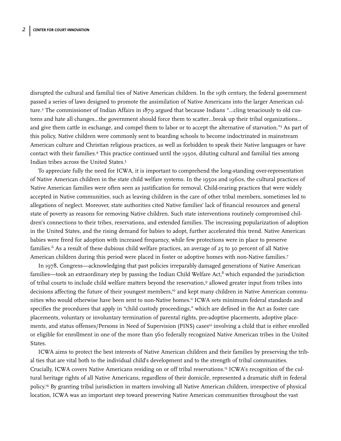disrupted the cultural and familial ties of Native American children. In the 19th century, the federal government passed a series of laws designed to promote the assimilation of Native Americans into the larger American culture.2 The commissioner of Indian Affairs in 1879 argued that because Indians "...cling tenaciously to old customs and hate all changes…the government should force them to scatter…break up their tribal organizations… and give them cattle in exchange, and compel them to labor or to accept the alternative of starvation."3 As part of this policy, Native children were commonly sent to boarding schools to become indoctrinated in mainstream American culture and Christian religious practices, as well as forbidden to speak their Native languages or have contact with their families.4 This practice continued until the 1930s, diluting cultural and familial ties among Indian tribes across the United States.5

To appreciate fully the need for ICWA, it is important to comprehend the long-standing over-representation of Native American children in the state child welfare systems. In the 1950s and 1960s, the cultural practices of Native American families were often seen as justification for removal. Child-rearing practices that were widely accepted in Native communities, such as leaving children in the care of other tribal members, sometimes led to allegations of neglect. Moreover, state authorities cited Native families' lack of financial resources and general state of poverty as reasons for removing Native children. Such state interventions routinely compromised children's connections to their tribes, reservations, and extended families. The increasing popularization of adoption in the United States, and the rising demand for babies to adopt, further accelerated this trend. Native American babies were freed for adoption with increased frequency, while few protections were in place to preserve families.6 As a result of these dubious child welfare practices, an average of 25 to 30 percent of all Native American children during this period were placed in foster or adoptive homes with non-Native families.7

In 1978, Congress—acknowledging that past policies irreparably damaged generations of Native American families—took an extraordinary step by passing the Indian Child Welfare Act, $8$  which expanded the jurisdiction of tribal courts to include child welfare matters beyond the reservation,9 allowed greater input from tribes into decisions affecting the future of their youngest members,<sup>10</sup> and kept many children in Native American communities who would otherwise have been sent to non-Native homes.<sup>11</sup> ICWA sets minimum federal standards and specifies the procedures that apply in "child custody proceedings," which are defined in the Act as foster care placements, voluntary or involuntary termination of parental rights, pre-adoptive placements, adoptive placements, and status offenses/Persons in Need of Supervision (PINS) cases<sup>12</sup> involving a child that is either enrolled or eligible for enrollment in one of the more than 560 federally recognized Native American tribes in the United States.

ICWA aims to protect the best interests of Native American children and their families by preserving the tribal ties that are vital both to the individual child's development and to the strength of tribal communities. Crucially, ICWA covers Native Americans residing on or off tribal reservations.13 ICWA's recognition of the cultural heritage rights of all Native Americans, regardless of their domicile, represented a dramatic shift in federal policy.14 By granting tribal jurisdiction in matters involving all Native American children, irrespective of physical location, ICWA was an important step toward preserving Native American communities throughout the vast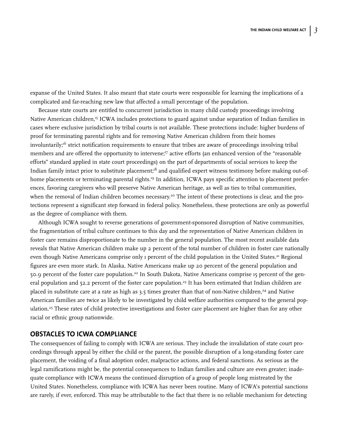expanse of the United States. It also meant that state courts were responsible for learning the implications of a complicated and far-reaching new law that affected a small percentage of the population.

Because state courts are entitled to concurrent jurisdiction in many child custody proceedings involving Native American children,<sup>15</sup> ICWA includes protections to guard against undue separation of Indian families in cases where exclusive jurisdiction by tribal courts is not available. These protections include: higher burdens of proof for terminating parental rights and for removing Native American children from their homes involuntarily;<sup>16</sup> strict notification requirements to ensure that tribes are aware of proceedings involving tribal members and are offered the opportunity to intervene;<sup>17</sup> active efforts (an enhanced version of the "reasonable efforts" standard applied in state court proceedings) on the part of departments of social services to keep the Indian family intact prior to substitute placement;<sup>18</sup> and qualified expert witness testimony before making out-ofhome placements or terminating parental rights.<sup>19</sup> In addition, ICWA pays specific attention to placement preferences, favoring caregivers who will preserve Native American heritage, as well as ties to tribal communities, when the removal of Indian children becomes necessary.<sup>20</sup> The intent of these protections is clear, and the protections represent a significant step forward in federal policy. Nonetheless, these protections are only as powerful as the degree of compliance with them.

Although ICWA sought to reverse generations of government-sponsored disruption of Native communities, the fragmentation of tribal culture continues to this day and the representation of Native American children in foster care remains disproportionate to the number in the general population. The most recent available data reveals that Native American children make up 2 percent of the total number of children in foster care nationally even though Native Americans comprise only 1 percent of the child population in the United States.<sup>21</sup> Regional figures are even more stark. In Alaska, Native Americans make up 20 percent of the general population and 50.9 percent of the foster care population.22 In South Dakota, Native Americans comprise 15 percent of the general population and 52.2 percent of the foster care population.<sup>23</sup> It has been estimated that Indian children are placed in substitute care at a rate as high as 3.5 times greater than that of non-Native children,<sup>24</sup> and Native American families are twice as likely to be investigated by child welfare authorities compared to the general population.25 These rates of child protective investigations and foster care placement are higher than for any other racial or ethnic group nationwide.

## **OBSTACLES TO ICWA COMPLIANCE**

The consequences of failing to comply with ICWA are serious. They include the invalidation of state court proceedings through appeal by either the child or the parent, the possible disruption of a long-standing foster care placement, the voiding of a final adoption order, malpractice actions, and federal sanctions. As serious as the legal ramifications might be, the potential consequences to Indian families and culture are even greater; inadequate compliance with ICWA means the continued disruption of a group of people long mistreated by the United States. Nonetheless, compliance with ICWA has never been routine. Many of ICWA's potential sanctions are rarely, if ever, enforced. This may be attributable to the fact that there is no reliable mechanism for detecting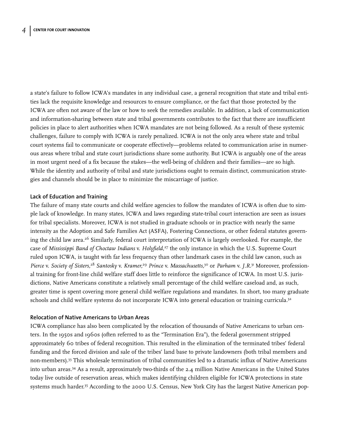a state's failure to follow ICWA's mandates in any individual case, a general recognition that state and tribal entities lack the requisite knowledge and resources to ensure compliance, or the fact that those protected by the ICWA are often not aware of the law or how to seek the remedies available. In addition, a lack of communication and information-sharing between state and tribal governments contributes to the fact that there are insufficient policies in place to alert authorities when ICWA mandates are not being followed. As a result of these systemic challenges, failure to comply with ICWA is rarely penalized. ICWA is not the only area where state and tribal court systems fail to communicate or cooperate effectively—problems related to communication arise in numerous areas where tribal and state court jurisdictions share some authority. But ICWA is arguably one of the areas in most urgent need of a fix because the stakes—the well-being of children and their families—are so high. While the identity and authority of tribal and state jurisdictions ought to remain distinct, communication strategies and channels should be in place to minimize the miscarriage of justice.

### **Lack of Education and Training**

The failure of many state courts and child welfare agencies to follow the mandates of ICWA is often due to simple lack of knowledge. In many states, ICWA and laws regarding state-tribal court interaction are seen as issues for tribal specialists. Moreover, ICWA is not studied in graduate schools or in practice with nearly the same intensity as the Adoption and Safe Families Act (ASFA), Fostering Connections, or other federal statutes governing the child law area.<sup>26</sup> Similarly, federal court interpretation of ICWA is largely overlooked. For example, the case of *Mississippi Band of Choctaw Indians* v. *Holyfield*, <sup>27</sup> the only instance in which the U.S. Supreme Court ruled upon ICWA, is taught with far less frequency than other landmark cases in the child law canon, such as *Pierce* v. *Society of Sisters,*<sup>28</sup> *Santosky* v. *Kramer,*<sup>29</sup> *Prince* v. *Massachusetts,*<sup>30</sup> or *Parham* v. *J.R.*<sup>31</sup> Moreover, professional training for front-line child welfare staff does little to reinforce the significance of ICWA. In most U.S. jurisdictions, Native Americans constitute a relatively small percentage of the child welfare caseload and, as such, greater time is spent covering more general child welfare regulations and mandates. In short, too many graduate schools and child welfare systems do not incorporate ICWA into general education or training curricula.<sup>32</sup>

#### **Relocation of Native Americans to Urban Areas**

ICWA compliance has also been complicated by the relocation of thousands of Native Americans to urban centers. In the 1950s and 1960s (often referred to as the "Termination Era"), the federal government stripped approximately 60 tribes of federal recognition. This resulted in the elimination of the terminated tribes' federal funding and the forced division and sale of the tribes' land base to private landowners (both tribal members and non-members).33 This wholesale termination of tribal communities led to a dramatic influx of Native Americans into urban areas.34 As a result, approximately two-thirds of the 2.4 million Native Americans in the United States today live outside of reservation areas, which makes identifying children eligible for ICWA protections in state systems much harder.<sup>35</sup> According to the 2000 U.S. Census, New York City has the largest Native American pop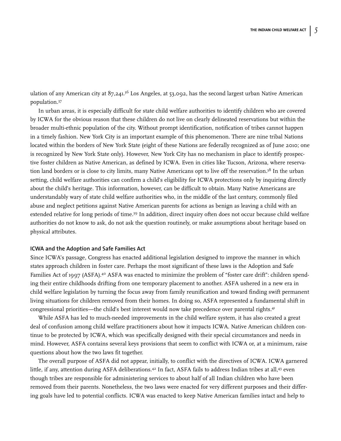ulation of any American city at 87,241.<sup>36</sup> Los Angeles, at 53,092, has the second largest urban Native American population.37

In urban areas, it is especially difficult for state child welfare authorities to identify children who are covered by ICWA for the obvious reason that these children do not live on clearly delineated reservations but within the broader multi-ethnic population of the city. Without prompt identification, notification of tribes cannot happen in a timely fashion. New York City is an important example of this phenomenon. There are nine tribal Nations located within the borders of New York State (eight of these Nations are federally recognized as of June 2010; one is recognized by New York State only). However, New York City has no mechanism in place to identify prospective foster children as Native American, as defined by ICWA. Even in cities like Tucson, Arizona, where reservation land borders or is close to city limits, many Native Americans opt to live off the reservation.<sup>38</sup> In the urban setting, child welfare authorities can confirm a child's eligibility for ICWA protections only by inquiring directly about the child's heritage. This information, however, can be difficult to obtain. Many Native Americans are understandably wary of state child welfare authorities who, in the middle of the last century, commonly filed abuse and neglect petitions against Native American parents for actions as benign as leaving a child with an extended relative for long periods of time.<sup>39</sup> In addition, direct inquiry often does not occur because child welfare authorities do not know to ask, do not ask the question routinely, or make assumptions about heritage based on physical attributes.

#### **ICWA and the Adoption and Safe Families Act**

Since ICWA's passage, Congress has enacted additional legislation designed to improve the manner in which states approach children in foster care. Perhaps the most significant of these laws is the Adoption and Safe Families Act of 1997 (ASFA).40 ASFA was enacted to minimize the problem of "foster care drift": children spending their entire childhoods drifting from one temporary placement to another. ASFA ushered in a new era in child welfare legislation by turning the focus away from family reunification and toward finding swift permanent living situations for children removed from their homes. In doing so, ASFA represented a fundamental shift in congressional priorities—the child's best interest would now take precedence over parental rights.<sup>41</sup>

While ASFA has led to much-needed improvements in the child welfare system, it has also created a great deal of confusion among child welfare practitioners about how it impacts ICWA. Native American children continue to be protected by ICWA, which was specifically designed with their special circumstances and needs in mind. However, ASFA contains several keys provisions that seem to conflict with ICWA or, at a minimum, raise questions about how the two laws fit together.

The overall purpose of ASFA did not appear, initially, to conflict with the directives of ICWA. ICWA garnered little, if any, attention during ASFA deliberations.<sup>42</sup> In fact, ASFA fails to address Indian tribes at all,<sup>43</sup> even though tribes are responsible for administering services to about half of all Indian children who have been removed from their parents. Nonetheless, the two laws were enacted for very different purposes and their differing goals have led to potential conflicts. ICWA was enacted to keep Native American families intact and help to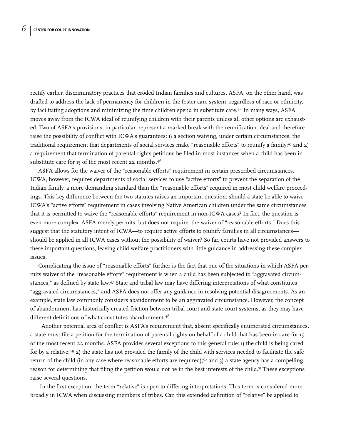rectify earlier, discriminatory practices that eroded Indian families and cultures. ASFA, on the other hand, was drafted to address the lack of permanency for children in the foster care system, regardless of race or ethnicity, by facilitating adoptions and minimizing the time children spend in substitute care.44 In many ways, ASFA moves away from the ICWA ideal of reunifying children with their parents unless all other options are exhausted. Two of ASFA's provisions, in particular, represent a marked break with the reunification ideal and therefore raise the possibility of conflict with ICWA's guarantees: 1) a section waiving, under certain circumstances, the traditional requirement that departments of social services make "reasonable efforts" to reunify a family;45 and 2) a requirement that termination of parental rights petitions be filed in most instances when a child has been in substitute care for 15 of the most recent 22 months.<sup>46</sup>

ASFA allows for the waiver of the "reasonable efforts" requirement in certain prescribed circumstances. ICWA, however, requires departments of social services to use "active efforts" to prevent the separation of the Indian family, a more demanding standard than the "reasonable efforts" required in most child welfare proceedings. This key difference between the two statutes raises an important question: should a state be able to waive ICWA's "active efforts" requirement in cases involving Native American children under the same circumstances that it is permitted to waive the "reasonable efforts" requirement in non-ICWA cases? In fact, the question is even more complex. ASFA merely permits, but does not require, the waiver of "reasonable efforts." Does this suggest that the statutory intent of ICWA—to require active efforts to reunify families in all circumstances should be applied in all ICWA cases without the possibility of waiver? So far, courts have not provided answers to these important questions, leaving child welfare practitioners with little guidance in addressing these complex issues.

Complicating the issue of "reasonable efforts" further is the fact that one of the situations in which ASFA permits waiver of the "reasonable efforts" requirement is when a child has been subjected to "aggravated circumstances," as defined by state law.47 State and tribal law may have differing interpretations of what constitutes "aggravated circumstances," and ASFA does not offer any guidance in resolving potential disagreements. As an example, state law commonly considers abandonment to be an aggravated circumstance. However, the concept of abandonment has historically created friction between tribal court and state court systems, as they may have different definitions of what constitutes abandonment.<sup>48</sup>

Another potential area of conflict is ASFA's requirement that, absent specifically enumerated circumstances, a state must file a petition for the termination of parental rights on behalf of a child that has been in care for 15 of the most recent 22 months. ASFA provides several exceptions to this general rule: 1) the child is being cared for by a relative;49 2) the state has not provided the family of the child with services needed to facilitate the safe return of the child (in any case where reasonable efforts are required);<sup>50</sup> and 3) a state agency has a compelling reason for determining that filing the petition would not be in the best interests of the child.<sup>51</sup> These exceptions raise several questions.

In the first exception, the term "relative" is open to differing interpretations. This term is considered more broadly in ICWA when discussing members of tribes. Can this extended definition of "relative" be applied to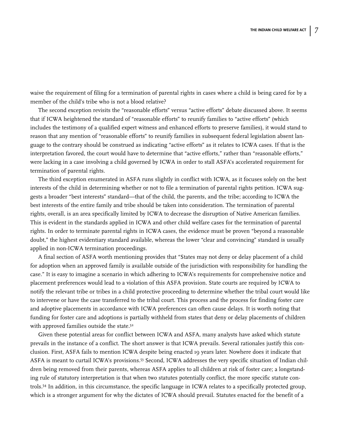waive the requirement of filing for a termination of parental rights in cases where a child is being cared for by a member of the child's tribe who is not a blood relative?

The second exception revisits the "reasonable efforts" versus "active efforts" debate discussed above. It seems that if ICWA heightened the standard of "reasonable efforts" to reunify families to "active efforts" (which includes the testimony of a qualified expert witness and enhanced efforts to preserve families), it would stand to reason that any mention of "reasonable efforts" to reunify families in subsequent federal legislation absent language to the contrary should be construed as indicating "active efforts" as it relates to ICWA cases. If that is the interpretation favored, the court would have to determine that "active efforts," rather than "reasonable efforts," were lacking in a case involving a child governed by ICWA in order to stall ASFA's accelerated requirement for termination of parental rights.

The third exception enumerated in ASFA runs slightly in conflict with ICWA, as it focuses solely on the best interests of the child in determining whether or not to file a termination of parental rights petition. ICWA suggests a broader "best interests" standard—that of the child, the parents, and the tribe; according to ICWA the best interests of the entire family and tribe should be taken into consideration. The termination of parental rights, overall, is an area specifically limited by ICWA to decrease the disruption of Native American families. This is evident in the standards applied in ICWA and other child welfare cases for the termination of parental rights. In order to terminate parental rights in ICWA cases, the evidence must be proven "beyond a reasonable doubt," the highest evidentiary standard available, whereas the lower "clear and convincing" standard is usually applied in non-ICWA termination proceedings.

A final section of ASFA worth mentioning provides that "States may not deny or delay placement of a child for adoption when an approved family is available outside of the jurisdiction with responsibility for handling the case." It is easy to imagine a scenario in which adhering to ICWA's requirements for comprehensive notice and placement preferences would lead to a violation of this ASFA provision. State courts are required by ICWA to notify the relevant tribe or tribes in a child protective proceeding to determine whether the tribal court would like to intervene or have the case transferred to the tribal court. This process and the process for finding foster care and adoptive placements in accordance with ICWA preferences can often cause delays. It is worth noting that funding for foster care and adoptions is partially withheld from states that deny or delay placements of children with approved families outside the state.<sup>52</sup>

Given these potential areas for conflict between ICWA and ASFA, many analysts have asked which statute prevails in the instance of a conflict. The short answer is that ICWA prevails. Several rationales justify this conclusion. First, ASFA fails to mention ICWA despite being enacted 19 years later. Nowhere does it indicate that ASFA is meant to curtail ICWA's provisions.53 Second, ICWA addresses the very specific situation of Indian children being removed from their parents, whereas ASFA applies to all children at risk of foster care; a longstanding rule of statutory interpretation is that when two statutes potentially conflict, the more specific statute controls.54 In addition, in this circumstance, the specific language in ICWA relates to a specifically protected group, which is a stronger argument for why the dictates of ICWA should prevail. Statutes enacted for the benefit of a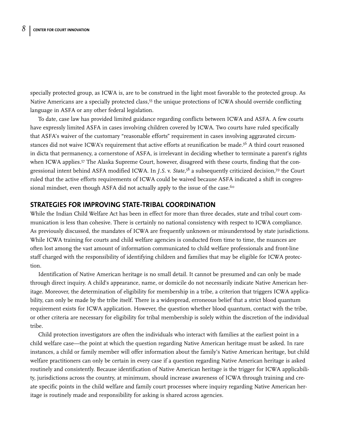specially protected group, as ICWA is, are to be construed in the light most favorable to the protected group. As Native Americans are a specially protected class,<sup>55</sup> the unique protections of ICWA should override conflicting language in ASFA or any other federal legislation.

To date, case law has provided limited guidance regarding conflicts between ICWA and ASFA. A few courts have expressly limited ASFA in cases involving children covered by ICWA. Two courts have ruled specifically that ASFA's waiver of the customary "reasonable efforts" requirement in cases involving aggravated circumstances did not waive ICWA's requirement that active efforts at reunification be made.<sup>56</sup> A third court reasoned in dicta that permanency, a cornerstone of ASFA, is irrelevant in deciding whether to terminate a parent's rights when ICWA applies.<sup>57</sup> The Alaska Supreme Court, however, disagreed with these courts, finding that the congressional intent behind ASFA modified ICWA. In *J.S*. v. *State*, <sup>58</sup> a subsequently criticized decision,59 the Court ruled that the active efforts requirements of ICWA could be waived because ASFA indicated a shift in congressional mindset, even though ASFA did not actually apply to the issue of the case.<sup>60</sup>

## **STRATEGIES FOR IMPROVING STATE-TRIBAL COORDINATION**

While the Indian Child Welfare Act has been in effect for more than three decades, state and tribal court communication is less than cohesive. There is certainly no national consistency with respect to ICWA compliance. As previously discussed, the mandates of ICWA are frequently unknown or misunderstood by state jurisdictions. While ICWA training for courts and child welfare agencies is conducted from time to time, the nuances are often lost among the vast amount of information communicated to child welfare professionals and front-line staff charged with the responsibility of identifying children and families that may be eligible for ICWA protection.

Identification of Native American heritage is no small detail. It cannot be presumed and can only be made through direct inquiry. A child's appearance, name, or domicile do not necessarily indicate Native American heritage. Moreover, the determination of eligibility for membership in a tribe, a criterion that triggers ICWA applicability, can only be made by the tribe itself. There is a widespread, erroneous belief that a strict blood quantum requirement exists for ICWA application. However, the question whether blood quantum, contact with the tribe, or other criteria are necessary for eligibility for tribal membership is solely within the discretion of the individual tribe.

Child protection investigators are often the individuals who interact with families at the earliest point in a child welfare case—the point at which the question regarding Native American heritage must be asked. In rare instances, a child or family member will offer information about the family's Native American heritage, but child welfare practitioners can only be certain in every case if a question regarding Native American heritage is asked routinely and consistently. Because identification of Native American heritage is the trigger for ICWA applicability, jurisdictions across the country, at minimum, should increase awareness of ICWA through training and create specific points in the child welfare and family court processes where inquiry regarding Native American heritage is routinely made and responsibility for asking is shared across agencies.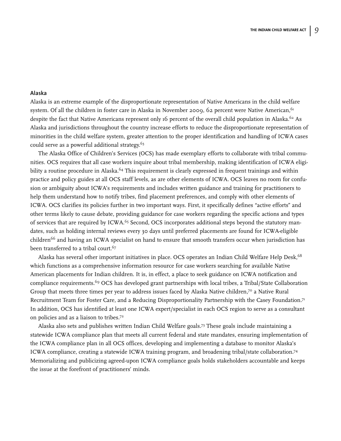#### **Alaska**

Alaska is an extreme example of the disproportionate representation of Native Americans in the child welfare system. Of all the children in foster care in Alaska in November 2009, 62 percent were Native American,  $61$ despite the fact that Native Americans represent only 16 percent of the overall child population in Alaska.<sup>62</sup> As Alaska and jurisdictions throughout the country increase efforts to reduce the disproportionate representation of minorities in the child welfare system, greater attention to the proper identification and handling of ICWA cases could serve as a powerful additional strategy.<sup>63</sup>

The Alaska Office of Children's Services (OCS) has made exemplary efforts to collaborate with tribal communities. OCS requires that all case workers inquire about tribal membership, making identification of ICWA eligibility a routine procedure in Alaska.<sup>64</sup> This requirement is clearly expressed in frequent trainings and within practice and policy guides at all OCS staff levels, as are other elements of ICWA. OCS leaves no room for confusion or ambiguity about ICWA's requirements and includes written guidance and training for practitioners to help them understand how to notify tribes, find placement preferences, and comply with other elements of ICWA. OCS clarifies its policies further in two important ways. First, it specifically defines "active efforts" and other terms likely to cause debate, providing guidance for case workers regarding the specific actions and types of services that are required by ICWA.<sup>65</sup> Second, OCS incorporates additional steps beyond the statutory mandates, such as holding internal reviews every 30 days until preferred placements are found for ICWA-eligible children<sup>66</sup> and having an ICWA specialist on hand to ensure that smooth transfers occur when jurisdiction has been transferred to a tribal court.<sup>67</sup>

Alaska has several other important initiatives in place. OCS operates an Indian Child Welfare Help Desk,<sup>68</sup> which functions as a comprehensive information resource for case workers searching for available Native American placements for Indian children. It is, in effect, a place to seek guidance on ICWA notification and compliance requirements.69 OCS has developed grant partnerships with local tribes, a Tribal/State Collaboration Group that meets three times per year to address issues faced by Alaska Native children,7° a Native Rural Recruitment Team for Foster Care, and a Reducing Disproportionality Partnership with the Casey Foundation.<sup>71</sup> In addition, OCS has identified at least one ICWA expert/specialist in each OCS region to serve as a consultant on policies and as a liaison to tribes.72

Alaska also sets and publishes written Indian Child Welfare goals.73 These goals include maintaining a statewide ICWA compliance plan that meets all current federal and state mandates, ensuring implementation of the ICWA compliance plan in all OCS offices, developing and implementing a database to monitor Alaska's ICWA compliance, creating a statewide ICWA training program, and broadening tribal/state collaboration.74 Memorializing and publicizing agreed-upon ICWA compliance goals holds stakeholders accountable and keeps the issue at the forefront of practitioners' minds.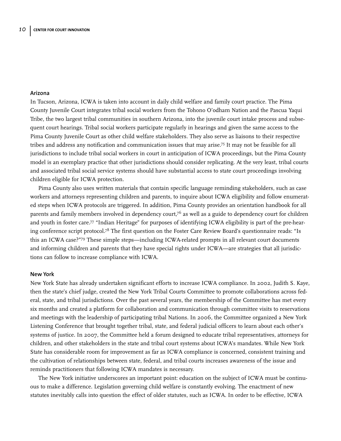#### **Arizona**

In Tucson, Arizona, ICWA is taken into account in daily child welfare and family court practice. The Pima County Juvenile Court integrates tribal social workers from the Tohono O'odham Nation and the Pascua Yaqui Tribe, the two largest tribal communities in southern Arizona, into the juvenile court intake process and subsequent court hearings. Tribal social workers participate regularly in hearings and given the same access to the Pima County Juvenile Court as other child welfare stakeholders. They also serve as liaisons to their respective tribes and address any notification and communication issues that may arise.75 It may not be feasible for all jurisdictions to include tribal social workers in court in anticipation of ICWA proceedings, but the Pima County model is an exemplary practice that other jurisdictions should consider replicating. At the very least, tribal courts and associated tribal social service systems should have substantial access to state court proceedings involving children eligible for ICWA protection.

Pima County also uses written materials that contain specific language reminding stakeholders, such as case workers and attorneys representing children and parents, to inquire about ICWA eligibility and follow enumerated steps when ICWA protocols are triggered. In addition, Pima County provides an orientation handbook for all parents and family members involved in dependency court,<sup>76</sup> as well as a guide to dependency court for children and youth in foster care.77 "Indian Heritage" for purposes of identifying ICWA eligibility is part of the pre-hearing conference script protocol.<sup>78</sup> The first question on the Foster Care Review Board's questionnaire reads: "Is this an ICWA case?"79 These simple steps—including ICWA-related prompts in all relevant court documents and informing children and parents that they have special rights under ICWA—are strategies that all jurisdictions can follow to increase compliance with ICWA.

#### **New York**

New York State has already undertaken significant efforts to increase ICWA compliance. In 2002, Judith S. Kaye, then the state's chief judge, created the New York Tribal Courts Committee to promote collaborations across federal, state, and tribal jurisdictions. Over the past several years, the membership of the Committee has met every six months and created a platform for collaboration and communication through committee visits to reservations and meetings with the leadership of participating tribal Nations. In 2006, the Committee organized a New York Listening Conference that brought together tribal, state, and federal judicial officers to learn about each other's systems of justice. In 2007, the Committee held a forum designed to educate tribal representatives, attorneys for children, and other stakeholders in the state and tribal court systems about ICWA's mandates. While New York State has considerable room for improvement as far as ICWA compliance is concerned, consistent training and the cultivation of relationships between state, federal, and tribal courts increases awareness of the issue and reminds practitioners that following ICWA mandates is necessary.

The New York initiative underscores an important point: education on the subject of ICWA must be continuous to make a difference. Legislation governing child welfare is constantly evolving. The enactment of new statutes inevitably calls into question the effect of older statutes, such as ICWA. In order to be effective, ICWA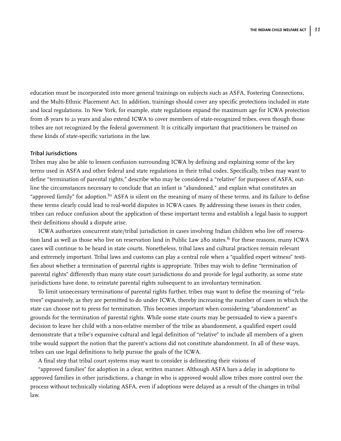education must be incorporated into more general trainings on subjects such as ASFA, Fostering Connections, and the Multi-Ethnic Placement Act. In addition, trainings should cover any specific protections included in state and local regulations. In New York, for example, state regulations expand the maximum age for ICWA protection from 18 years to 21 years and also extend ICWA to cover members of state-recognized tribes, even though those tribes are not recognized by the federal government. It is critically important that practitioners be trained on these kinds of state-specific variations in the law.

#### **Tribal Jurisdictions**

Tribes may also be able to lessen confusion surrounding ICWA by defining and explaining some of the key terms used in ASFA and other federal and state regulations in their tribal codes. Specifically, tribes may want to define "termination of parental rights," describe who may be considered a "relative" for purposes of ASFA, outline the circumstances necessary to conclude that an infant is "abandoned," and explain what constitutes an "approved family" for adoption.<sup>80</sup> ASFA is silent on the meaning of many of these terms, and its failure to define these terms clearly could lead to real-world disputes in ICWA cases. By addressing these issues in their codes, tribes can reduce confusion about the application of these important terms and establish a legal basis to support their definitions should a dispute arise.

ICWA authorizes concurrent state/tribal jurisdiction in cases involving Indian children who live off reservation land as well as those who live on reservation land in Public Law 280 states.<sup>81</sup> For these reasons, many ICWA cases will continue to be heard in state courts. Nonetheless, tribal laws and cultural practices remain relevant and extremely important. Tribal laws and customs can play a central role when a "qualified expert witness" testifies about whether a termination of parental rights is appropriate. Tribes may wish to define "termination of parental rights" differently than many state court jurisdictions do and provide for legal authority, as some state jurisdictions have done, to reinstate parental rights subsequent to an involuntary termination.

To limit unnecessary terminations of parental rights further, tribes may want to define the meaning of "relatives" expansively, as they are permitted to do under ICWA, thereby increasing the number of cases in which the state can choose not to press for termination. This becomes important when considering "abandonment" as grounds for the termination of parental rights. While some state courts may be persuaded to view a parent's decision to leave her child with a non-relative member of the tribe as abandonment, a qualified expert could demonstrate that a tribe's expansive cultural and legal definition of "relative" to include all members of a given tribe would support the notion that the parent's actions did not constitute abandonment. In all of these ways, tribes can use legal definitions to help pursue the goals of the ICWA.

A final step that tribal court systems may want to consider is delineating their visions of

"approved families" for adoption in a clear, written manner. Although ASFA bars a delay in adoptions to approved families in other jurisdictions, a change in who is approved would allow tribes more control over the process without technically violating ASFA, even if adoptions were delayed as a result of the changes in tribal law.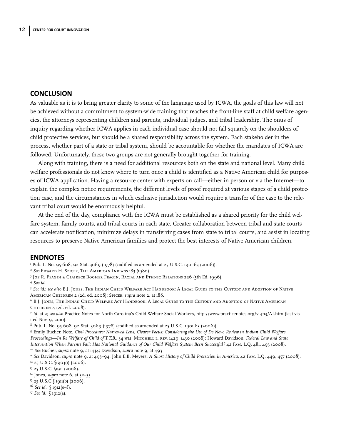## **CONCLUSION**

As valuable as it is to bring greater clarity to some of the language used by ICWA, the goals of this law will not be achieved without a commitment to system-wide training that reaches the front-line staff at child welfare agencies, the attorneys representing children and parents, individual judges, and tribal leadership. The onus of inquiry regarding whether ICWA applies in each individual case should not fall squarely on the shoulders of child protective services, but should be a shared responsibility across the system. Each stakeholder in the process, whether part of a state or tribal system, should be accountable for whether the mandates of ICWA are followed. Unfortunately, these two groups are not generally brought together for training.

Along with training, there is a need for additional resources both on the state and national level. Many child welfare professionals do not know where to turn once a child is identified as a Native American child for purposes of ICWA application. Having a resource center with experts on call—either in person or via the Internet—to explain the complex notice requirements, the different levels of proof required at various stages of a child protection case, and the circumstances in which exclusive jurisdiction would require a transfer of the case to the relevant tribal court would be enormously helpful.

At the end of the day, compliance with the ICWA must be established as a shared priority for the child welfare system, family courts, and tribal courts in each state. Greater collaboration between tribal and state courts can accelerate notification, minimize delays in transferring cases from state to tribal courts, and assist in locating resources to preserve Native American families and protect the best interests of Native American children.

#### **ENDNOTES**

<sup>1</sup> Pub. L. No. 95-608, 92 Stat. 3069 (1978) (codified as amended at 25 U.S.C. 1901-63 (2006)).

- <sup>2</sup> *See* Edward H. Spicer, The American Indians 183 (1980).
- <sup>3</sup> Joe R. Feagin & Clairece Booher Feagin, Racial and Ethnic Relations 226 (5th Ed. 1996).
- 

<sup>4</sup> *See id*. 5 *See id*.; *see also* B.J. Jones, The Indian Child Welfare Act Handbook: A Legal Guide to the Custody and Adoption of Native American Children 2 (2d. ed. 2008); Spicer, *supra* note 2, at 188.

<sup>6</sup> B.J. Jones, The Indian Child Welfare Act Handbook: A Legal Guide to the Custody and Adoption of Native American Children 4 (2d. ed. 2008).

<sup>7</sup> *Id.* at 2; *see also* Practice Notes for North Carolina's Child Welfare Social Workers, http://www.practicenotes.org/v14n3/AI.htm (last visited Nov. 9, 2010).

<sup>8</sup> Pub. L. No. 95-608, 92 Stat. 3069 (1978) (codified as amended at 25 U.S.C. 1901-63 (2006)).

<sup>9</sup> Emily Bucher, Note, *Civil Procedure: Narrowed Lens, Clearer Focus: Considering the Use of De Novo Review in Indian Child Welfare Proceedings—In Re Welfare of Child of T.T.B*., 34 wm. Mitchell l. rev. 1429, 1430 (2008); Howard Davidson, *Federal Law and State*

Intervention When Parents Fail: Has National Guidance of Our Child Welfare System Been Successful? 42 FAM. L.Q. 481, 493 (2008).<br><sup>10</sup> See Bucher, supra note 9, at 1434; Davidson, supra note 9, at 493<br><sup>11</sup> See Davidson, sup

- <sup>13</sup> 25 U.S.C. <u>[1911</u> (2006).
- <sup>14</sup> Jones, *supra* note 6, at 32−35.<br><sup>15</sup> 25 U.S.C § 1911(b) (2006).
- 
- <sup>16</sup> *See id*. § 1912(e–f).
- <sup>17</sup> *See id*. § 1912(a).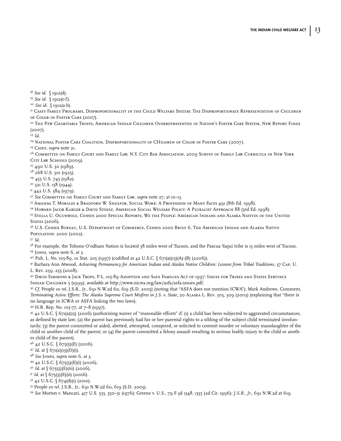<sup>18</sup> *See id*. § 1912(d). 19 *See id*. § 1912(e-f). 20 *See id*. § 1912(a-b).

<sup>21</sup> Casey Family Programs, Disproportionality in the Child Welfare System: The Disproportionate Representation of Children of Color in Foster Care (2007).<br><sup>22</sup> The Pew Charitable Trusts, American Indian Children Overrepresented in Nation's Foster Care System, New Report Finds

(2007).

<sup>23</sup> *Id.*

<sup>24</sup> NATIONAL FOSTER CARE COALITION, DISPROPORTIONALITY OF CHILDREN OF COLOR IN FOSTER CARE (2007).

<sup>25</sup> Casey, *supra* note 21.<br><sup>26</sup> Committee on Family Court and Family Law, N.Y. City Bar Association, 2009 Survey of Family Law Curricula in New York CITY LAW SCHOOLS (2009).<br><sup>27</sup> 490 U.S. 30 (1989).

 $28$  268 U.S. 510 (1925).<br><sup>29</sup> 455 U.S. 745 (1982).

<sup>30</sup> 321 U.S. 158 (1944).

 $31\,442$  U.S.  $584$  (1979).

<sup>32</sup> *See* Committee on Family Court and Family Law, *supra* note 27, at 10–13.

<sup>33</sup> Amanda T. Morales & Bradford W. Sheafor, Social Work: A Profession of Many Faces 491 (8th Ed. 1998).

<sup>34</sup> Howard Jacob Karger & David Stoesz, American Social Welfare Policy: A Pluralist Approach 88 (3rd Ed. 1998).

<sup>35</sup> Stella U. Ogunwole, Census 2000 Special Reports, We the People: American Indians and Alaska Natives in the United STATES (2006).

<sup>36</sup> U.S. Census Bureau, U.S. Department of Commerce, Census 2000 Brief 6, The American Indian and Alaksa Native Population: 2000 (2002).

<sup>37</sup> *Id*.

<sup>38</sup> For example, the Tohono O'odham Nation is located 58 miles west of Tucson, and the Pascua Yaqui tribe is 15 miles west of Tucson.

39 Jones, *supra* note 6, at 3.<br><sup>40</sup> Pub. L. No. 105-89, 111 Stat. 2115 (1997) (codified at 42 U.S.C. § 671(a)(15)(A)-(B) (2006)).

<sup>41</sup> Barbara Ann Atwood, Achieving Permanency for American Indian and Alaska Native Children: Lessons from Tribal Traditions, 37 CAP. U. L. Rev. 239, 255 (2008).

<sup>42</sup> David Simmons & Jack Trope, P.L. 105-89 Adoption and Safe Families Act of 1997: Issues for Tribes and States Servince Indian Children 5 (1999), *available at* http://www.nicwa.org/law/asfa/asfa-issues.pdf.

<sup>43</sup> *Cf.* People *ex rel.* J.S.B., Jr., 691 N.W.2d 611, 619 (S.D. 2005) (noting that "ASFA does not mention ICWA"); Mark Andrews, Comment, *Terminating Active Efforts: The Alaska Supreme Court Misfires in J.S. v. State,* 20 Alaska L. Rev. 305, 309 (2003) (explaining that "there is no language in ICWA or ASFA linking the two laws).

<sup>44</sup> H.R. Rep. No. 105-77, at 7–8 (1997).

<sup>45</sup> 42 U.S.C. § 671(a)(15) (2006) (authorizing waiver of "reasonable efforts" if: (1) a child has been subjected to aggravated circumstances, as defined by state law; (2) the parent has previously had his or her parental rights to a sibling of the subject child terminated involuntarily; (3) the parent committed or aided, abetted, attempted, conspired, or solicited to commit murder or voluntary manslaughter of the child or another child of the parent; or (4) the parent committed a felony assault resulting in serious bodily injury to the child or another child of the parent).

 $4^{6}$  42 U.S.C.  $(675(5)(E)$  (2006).

<sup>47</sup> *Id*. at § 671(a)(15)(D)(i).

<sup>48</sup> *See* Jones, *supra* note 6, at 3.

<sup>49</sup> 42 U.S.C. § 675(5)(E)(i) (2006). 50 *Id*. at § 675(5)(E)(iii) (2006).

 $51$  *Id.* at  $\binom{675}{5}$ (E)(ii) (2006).

 $52$  42 U.S.C.  $\binom{6}{74}$ (d)(1) (2010).

<sup>53</sup> People *ex rel.* J.S.B., Jr., 691 N.W.2d 611, 619 (S.D. 2005). 54 *See* Morton v. Mancari, 417 U.S. 535, 550–51 (1976); Greene v. U.S., 79 F.3d 1348, 1355 (2d Cir. 1996); *J.S.B., Jr.*, 691 N.W.2d at 619.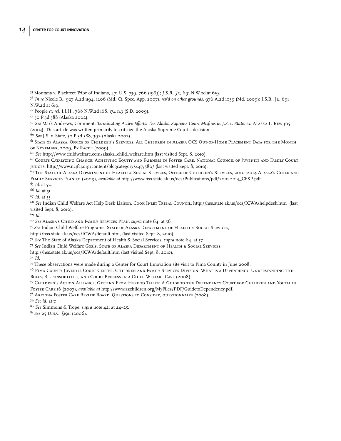- Montana v. Blackfeet Tribe of Indians, 471 U.S. 759, 766 (1985); *J.S.B., Jr.,* 691 N.W.2d at 619.
- *In re* Nicole B., 927 A.2d 1194, 1206 (Md. Ct. Spec. App. 2007), *rev'd on other grounds*, 976 A.2d 1039 (Md. 2009); J.S.B., Jr., 691 N.W.2d at 619.
- People *ex rel.* J.I.H., 768 N.W.2d 168, 174 n.3 (S.D. 2009).
- 50 P.3d 388 (Alaska 2002).

 *See* Mark Andrews, Comment, *Terminating Active Efforts: The Alaska Supreme Court Misfires in J.S. v. State*, 20 Alaska L. Rev. 305 (2003). This article was written primarily to criticize the Alaska Supreme Court's decision.

*See* J.S. v. State, 50 P.3d 388, 392 (Alaska 2002).

 State of Alaska, Office of Children's Services, All Children in Alaska OCS Out-of-Home Placement Data for the Month of November, 2009, By Race 1 (2009).

*See* http://www.childwelfare.com/alaska\_child\_welfare.htm (last visited Sept. 8, 2010).

 Courts Catalyzing Change: Achieving Equity and Fairness in Foster Care, National Council of Juvenile and Family Court Judges, http://www.ncjfcj.org/content/blogcategory/447/580/ (last visited Sept. 8, 2010).

 The State of Alaska Department of Health & Social Services, Office of Children's Services, 2010–2014 Alaska's Child and Family Services Plan 50 (2009), *available at* http://www.hss.state.ak.us/ocs/Publications/pdf/2010-2014\_CFSP.pdf.

*Id.* at 52.

*Id.* at 51.

*Id.* at 55.

 *See* Indian Child Welfare Act Help Desk Liaison, Cook Inlet Tribal Council, http://hss.state.ak.us/ocs/ICWA/helpdesk.htm (last visited Sept. 8, 2010).

*Id.*

*See* Alaska's Child and Family Services Plan, *supra* note 64, at 56

*See* Indian Child Welfare Programs, State of Alaska Department of Health & Social Services,

http://hss.state.ak.us/ocs/ICWA/default.htm, (last visited Sept. 8, 2010).

*See* The State of Alaska Department of Health & Social Services, *supra* note 64, at 57.

*See* Indian Child Welfare Goals, State of Alaska Department of Health & Social Services,

http://hss.state.ak.us/ocs/ICWA/default.htm (last visited Sept. 8, 2010).

*Id*.

These observations were made during a Center for Court Innovation site visit to Pima County in June 2008.

 Pima County Juvenile Court Center, Children and Family Services Division, What is a Dependency: Understanding the Roles, Responsibilities, and Court Process in a Child Welfare Case (2008).

 Children's Action Alliance, Getting From Here to There: A Guide to the Dependency Court for Children and Youth in Foster Care 16 (2007), *available at* http://www.azchildren.org/MyFiles/PDF/GuidetoDependency.pdf.

Arizona Foster Care Review Board, Questions to Consider, questionnaire (2008).

*See id.* at 7.

*See* Simmons & Trope, *supra* note 42, at 24–25.

*See* 25 U.S.C. §1911 (2006).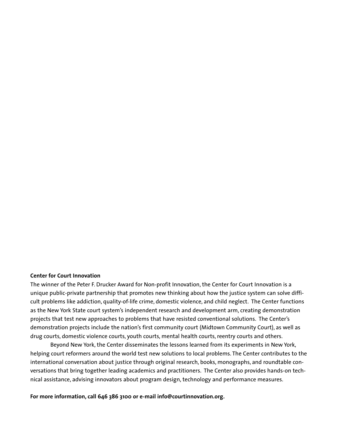#### **Center for Court Innovation**

The winner of the Peter F. Drucker Award for Non-profit Innovation, the Center for Court Innovation is a unique public-private partnership that promotes new thinking about how the justice system can solve difficult problems like addiction, quality-of-life crime, domestic violence, and child neglect. The Center functions as the New York State court system's independent research and development arm, creating demonstration projects that test new approaches to problems that have resisted conventional solutions. The Center's demonstration projects include the nation's first community court (Midtown Community Court), as well as drug courts, domestic violence courts, youth courts, mental health courts, reentry courts and others.

Beyond New York, the Center disseminates the lessons learned from its experiments in New York, helping court reformers around the world test new solutions to local problems. The Center contributes to the international conversation about justice through original research, books, monographs, and roundtable conversations that bring together leading academics and practitioners. The Center also provides hands-on technical assistance, advising innovators about program design, technology and performance measures.

**For more information, call 646 386 3100 or e-mail info@courtinnovation.org.**